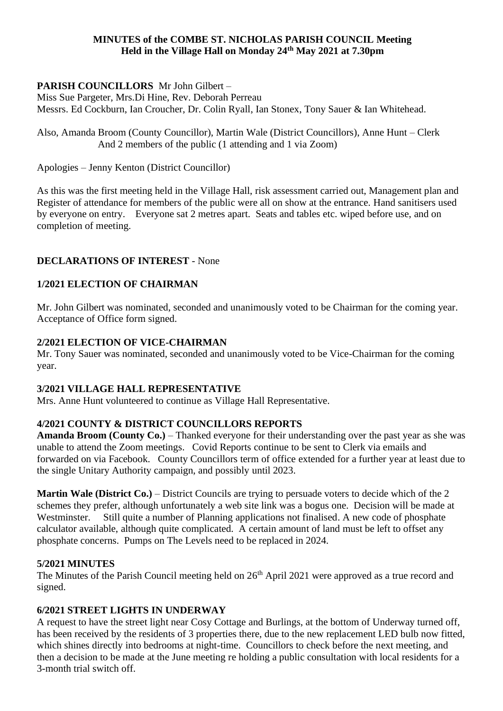### **MINUTES of the COMBE ST. NICHOLAS PARISH COUNCIL Meeting Held in the Village Hall on Monday 24th May 2021 at 7.30pm**

# **PARISH COUNCILLORS** Mr John Gilbert –

Miss Sue Pargeter, Mrs.Di Hine, Rev. Deborah Perreau Messrs. Ed Cockburn, Ian Croucher, Dr. Colin Ryall, Ian Stonex, Tony Sauer & Ian Whitehead.

Also, Amanda Broom (County Councillor), Martin Wale (District Councillors), Anne Hunt – Clerk And 2 members of the public (1 attending and 1 via Zoom)

Apologies – Jenny Kenton (District Councillor)

As this was the first meeting held in the Village Hall, risk assessment carried out, Management plan and Register of attendance for members of the public were all on show at the entrance. Hand sanitisers used by everyone on entry. Everyone sat 2 metres apart. Seats and tables etc. wiped before use, and on completion of meeting.

# **DECLARATIONS OF INTEREST** - None

# **1/2021 ELECTION OF CHAIRMAN**

Mr. John Gilbert was nominated, seconded and unanimously voted to be Chairman for the coming year. Acceptance of Office form signed.

### **2/2021 ELECTION OF VICE-CHAIRMAN**

Mr. Tony Sauer was nominated, seconded and unanimously voted to be Vice-Chairman for the coming year.

### **3/2021 VILLAGE HALL REPRESENTATIVE**

Mrs. Anne Hunt volunteered to continue as Village Hall Representative.

# **4/2021 COUNTY & DISTRICT COUNCILLORS REPORTS**

**Amanda Broom (County Co.)** – Thanked everyone for their understanding over the past year as she was unable to attend the Zoom meetings. Covid Reports continue to be sent to Clerk via emails and forwarded on via Facebook. County Councillors term of office extended for a further year at least due to the single Unitary Authority campaign, and possibly until 2023.

**Martin Wale (District Co.)** – District Councils are trying to persuade voters to decide which of the 2 schemes they prefer, although unfortunately a web site link was a bogus one. Decision will be made at Westminster. Still quite a number of Planning applications not finalised. A new code of phosphate calculator available, although quite complicated. A certain amount of land must be left to offset any phosphate concerns. Pumps on The Levels need to be replaced in 2024.

### **5/2021 MINUTES**

The Minutes of the Parish Council meeting held on 26<sup>th</sup> April 2021 were approved as a true record and signed.

# **6/2021 STREET LIGHTS IN UNDERWAY**

A request to have the street light near Cosy Cottage and Burlings, at the bottom of Underway turned off, has been received by the residents of 3 properties there, due to the new replacement LED bulb now fitted, which shines directly into bedrooms at night-time. Councillors to check before the next meeting, and then a decision to be made at the June meeting re holding a public consultation with local residents for a 3-month trial switch off.